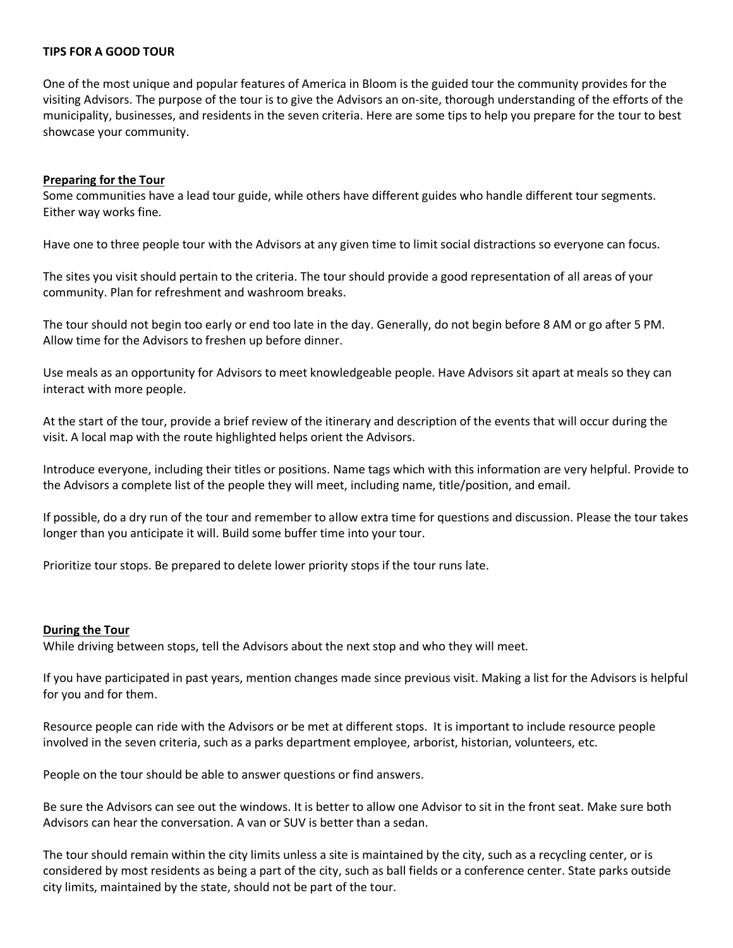## **TIPS FOR A GOOD TOUR**

One of the most unique and popular features of America in Bloom is the guided tour the community provides for the visiting Advisors. The purpose of the tour is to give the Advisors an on-site, thorough understanding of the efforts of the municipality, businesses, and residents in the seven criteria. Here are some tips to help you prepare for the tour to best showcase your community.

## **Preparing for the Tour**

Some communities have a lead tour guide, while others have different guides who handle different tour segments. Either way works fine.

Have one to three people tour with the Advisors at any given time to limit social distractions so everyone can focus.

The sites you visit should pertain to the criteria. The tour should provide a good representation of all areas of your community. Plan for refreshment and washroom breaks.

The tour should not begin too early or end too late in the day. Generally, do not begin before 8 AM or go after 5 PM. Allow time for the Advisors to freshen up before dinner.

Use meals as an opportunity for Advisors to meet knowledgeable people. Have Advisors sit apart at meals so they can interact with more people.

At the start of the tour, provide a brief review of the itinerary and description of the events that will occur during the visit. A local map with the route highlighted helps orient the Advisors.

Introduce everyone, including their titles or positions. Name tags which with this information are very helpful. Provide to the Advisors a complete list of the people they will meet, including name, title/position, and email.

If possible, do a dry run of the tour and remember to allow extra time for questions and discussion. Please the tour takes longer than you anticipate it will. Build some buffer time into your tour.

Prioritize tour stops. Be prepared to delete lower priority stops if the tour runs late.

## **During the Tour**

While driving between stops, tell the Advisors about the next stop and who they will meet.

If you have participated in past years, mention changes made since previous visit. Making a list for the Advisors is helpful for you and for them.

Resource people can ride with the Advisors or be met at different stops. It is important to include resource people involved in the seven criteria, such as a parks department employee, arborist, historian, volunteers, etc.

People on the tour should be able to answer questions or find answers.

Be sure the Advisors can see out the windows. It is better to allow one Advisor to sit in the front seat. Make sure both Advisors can hear the conversation. A van or SUV is better than a sedan.

The tour should remain within the city limits unless a site is maintained by the city, such as a recycling center, or is considered by most residents as being a part of the city, such as ball fields or a conference center. State parks outside city limits, maintained by the state, should not be part of the tour.